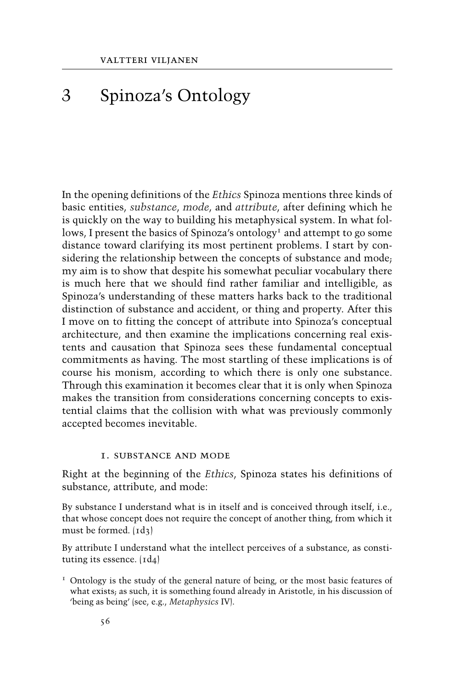# 3 Spinoza's Ontology

In the opening definitions of the *Ethics* Spinoza mentions three kinds of basic entities, *substance*, *mode*, and *attribute*, after defining which he is quickly on the way to building his metaphysical system. In what follows, I present the basics of Spinoza's ontology<sup>1</sup> and attempt to go some distance toward clarifying its most pertinent problems. I start by considering the relationship between the concepts of substance and mode; my aim is to show that despite his somewhat peculiar vocabulary there is much here that we should find rather familiar and intelligible, as Spinoza's understanding of these matters harks back to the traditional distinction of substance and accident, or thing and property. After this I move on to fitting the concept of attribute into Spinoza's conceptual architecture, and then examine the implications concerning real existents and causation that Spinoza sees these fundamental conceptual commitments as having. The most startling of these implications is of course his monism, according to which there is only one substance. Through this examination it becomes clear that it is only when Spinoza makes the transition from considerations concerning concepts to existential claims that the collision with what was previously commonly accepted becomes inevitable.

## 1. substance and mode

Right at the beginning of the *Ethics*, Spinoza states his definitions of substance, attribute, and mode:

By substance I understand what is in itself and is conceived through itself, i.e., that whose concept does not require the concept of another thing, from which it must be formed.  $\lceil \text{Id}_3 \rceil$ 

By attribute I understand what the intellect perceives of a substance, as constituting its essence.  $\lceil 1d_4 \rceil$ 

 $<sup>I</sup>$  Ontology is the study of the general nature of being, or the most basic features of</sup> what exists; as such, it is something found already in Aristotle, in his discussion of 'being as being' (see, e.g., *Metaphysics* IV).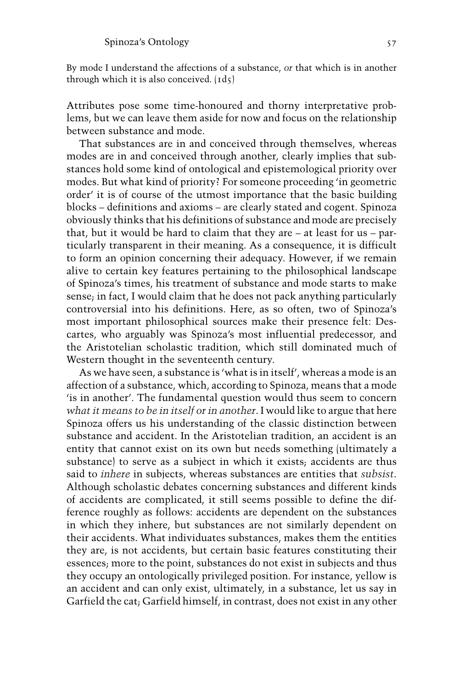By mode I understand the affections of a substance, *or* that which is in another through which it is also conceived.  $\lfloor \text{Id}_5 \rfloor$ 

Attributes pose some time-honoured and thorny interpretative problems, but we can leave them aside for now and focus on the relationship between substance and mode.

That substances are in and conceived through themselves, whereas modes are in and conceived through another, clearly implies that substances hold some kind of ontological and epistemological priority over modes. But what kind of priority? For someone proceeding 'in geometric order' it is of course of the utmost importance that the basic building blocks – definitions and axioms – are clearly stated and cogent. Spinoza obviously thinks that his definitions of substance and mode are precisely that, but it would be hard to claim that they are – at least for us – particularly transparent in their meaning. As a consequence, it is difficult to form an opinion concerning their adequacy. However, if we remain alive to certain key features pertaining to the philosophical landscape of Spinoza's times, his treatment of substance and mode starts to make sense; in fact, I would claim that he does not pack anything particularly controversial into his definitions. Here, as so often, two of Spinoza's most important philosophical sources make their presence felt: Descartes, who arguably was Spinoza's most influential predecessor, and the Aristotelian scholastic tradition, which still dominated much of Western thought in the seventeenth century.

As we have seen, a substance is 'what is in itself', whereas a mode is an affection of a substance, which, according to Spinoza, means that a mode 'is in another'. The fundamental question would thus seem to concern *what it means to be in itself or in another*. I would like to argue that here Spinoza offers us his understanding of the classic distinction between substance and accident. In the Aristotelian tradition, an accident is an entity that cannot exist on its own but needs something (ultimately a substance) to serve as a subject in which it exists; accidents are thus said to *inhere* in subjects, whereas substances are entities that *subsist*. Although scholastic debates concerning substances and different kinds of accidents are complicated, it still seems possible to define the difference roughly as follows: accidents are dependent on the substances in which they inhere, but substances are not similarly dependent on their accidents. What individuates substances, makes them the entities they are, is not accidents, but certain basic features constituting their essences; more to the point, substances do not exist in subjects and thus they occupy an ontologically privileged position. For instance, yellow is an accident and can only exist, ultimately, in a substance, let us say in Garfield the cat; Garfield himself, in contrast, does not exist in any other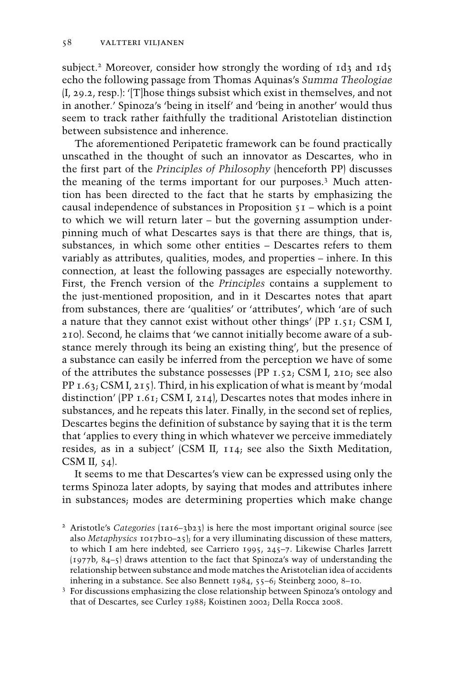subject.<sup>2</sup> Moreover, consider how strongly the wording of 1d3 and 1d5 echo the following passage from Thomas Aquinas's *Summa Theologiae* (I, 29.2, resp.): '[T]hose things subsist which exist in themselves, and not in another.' Spinoza's 'being in itself' and 'being in another' would thus seem to track rather faithfully the traditional Aristotelian distinction between subsistence and inherence.

The aforementioned Peripatetic framework can be found practically unscathed in the thought of such an innovator as Descartes, who in the first part of the *Principles of Philosophy* (henceforth PP) discusses the meaning of the terms important for our purposes.<sup>3</sup> Much attention has been directed to the fact that he starts by emphasizing the causal independence of substances in Proposition  $51 -$  which is a point to which we will return later – but the governing assumption underpinning much of what Descartes says is that there are things, that is, substances, in which some other entities – Descartes refers to them variably as attributes, qualities, modes, and properties – inhere. In this connection, at least the following passages are especially noteworthy. First, the French version of the *Principles* contains a supplement to the just-mentioned proposition, and in it Descartes notes that apart from substances, there are 'qualities' or 'attributes', which 'are of such a nature that they cannot exist without other things' (PP 1.51; CSM I, 210). Second, he claims that 'we cannot initially become aware of a substance merely through its being an existing thing', but the presence of a substance can easily be inferred from the perception we have of some of the attributes the substance possesses (PP 1.52; CSM I, 210; see also PP 1.63; CSM I, 215). Third, in his explication of what is meant by 'modal distinction' (PP 1.61; CSM I, 214), Descartes notes that modes inhere in substances, and he repeats this later. Finally, in the second set of replies, Descartes begins the definition of substance by saying that it is the term that 'applies to every thing in which whatever we perceive immediately resides, as in a subject' (CSM II, 114; see also the Sixth Meditation, CSM II, 54).

It seems to me that Descartes's view can be expressed using only the terms Spinoza later adopts, by saying that modes and attributes inhere in substances; modes are determining properties which make change

<sup>&</sup>lt;sup>2</sup> Aristotle's *Categories* (1a16–3b23) is here the most important original source (see also *Metaphysics* 1017b10–25); for a very illuminating discussion of these matters, to which I am here indebted, see Carriero 1995, 245–7. Likewise Charles Jarrett (1977b, 84–5) draws attention to the fact that Spinoza's way of understanding the relationship between substance and mode matches the Aristotelian idea of accidents

inhering in a substance. See also Bennett <sup>1984</sup>, <sup>55</sup>–6; Steinberg <sup>2000</sup>, <sup>8</sup>–10. <sup>3</sup> For discussions emphasizing the close relationship between Spinoza's ontology and that of Descartes, see Curley 1988; Koistinen 2002; Della Rocca 2008.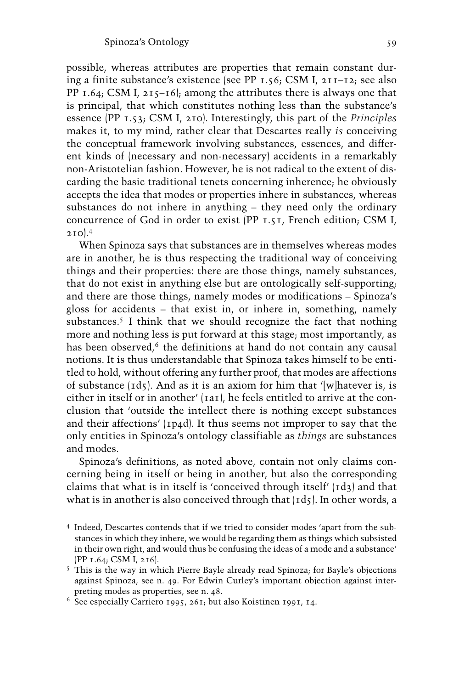possible, whereas attributes are properties that remain constant during a finite substance's existence (see PP 1.56; CSM I, 211–12; see also PP  $1.64$ ; CSM I,  $215-16$ ; among the attributes there is always one that is principal, that which constitutes nothing less than the substance's essence (PP 1.53; CSM I, 210). Interestingly, this part of the *Principles* makes it, to my mind, rather clear that Descartes really *is* conceiving the conceptual framework involving substances, essences, and different kinds of (necessary and non-necessary) accidents in a remarkably non-Aristotelian fashion. However, he is not radical to the extent of discarding the basic traditional tenets concerning inherence; he obviously accepts the idea that modes or properties inhere in substances, whereas substances do not inhere in anything – they need only the ordinary concurrence of God in order to exist (PP 1.51, French edition; CSM I, 210).<sup>4</sup>

When Spinoza says that substances are in themselves whereas modes are in another, he is thus respecting the traditional way of conceiving things and their properties: there are those things, namely substances, that do not exist in anything else but are ontologically self-supporting; and there are those things, namely modes or modifications – Spinoza's gloss for accidents – that exist in, or inhere in, something, namely substances.<sup>5</sup> I think that we should recognize the fact that nothing more and nothing less is put forward at this stage; most importantly, as has been observed,<sup>6</sup> the definitions at hand do not contain any causal notions. It is thus understandable that Spinoza takes himself to be entitled to hold, without offering any further proof, that modes are affections of substance (1d5). And as it is an axiom for him that '[w]hatever is, is either in itself or in another' (1a1), he feels entitled to arrive at the conclusion that 'outside the intellect there is nothing except substances and their affections' (1p4d). It thus seems not improper to say that the only entities in Spinoza's ontology classifiable as *things* are substances and modes.

Spinoza's definitions, as noted above, contain not only claims concerning being in itself or being in another, but also the corresponding claims that what is in itself is 'conceived through itself' (1d3) and that what is in another is also conceived through that  $\lfloor \frac{1}{d} \rfloor$ . In other words, a

<sup>4</sup> Indeed, Descartes contends that if we tried to consider modes 'apart from the substances in which they inhere, we would be regarding them as things which subsisted in their own right, and would thus be confusing the ideas of a mode and a substance' (PP 1.64; CSM I, 216).  $[PP \tcdot 64; CSM \tcdot 716]$ .  $[SP \tcdot 64; CSM \tcdot 716]$ <br>This is the way in which Pierre Bayle already read Spinoza; for Bayle's objections

against Spinoza, see n. 49. For Edwin Curley's important objection against interpreting modes as properties, see n. 48.<br><sup>6</sup> See especially Carriero 1995, 261; but also Koistinen 1991, 14.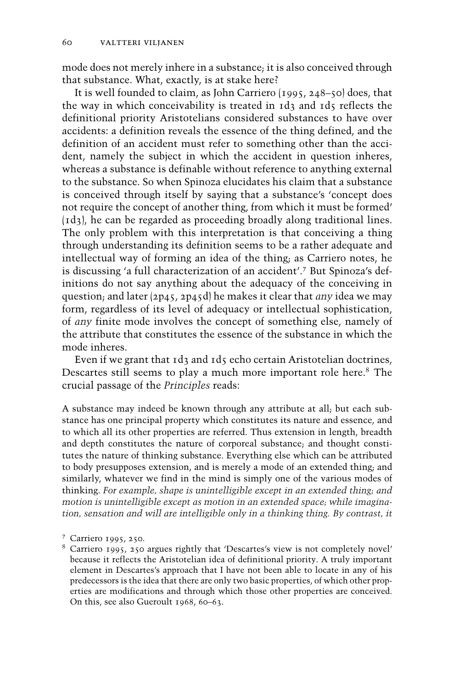mode does not merely inhere in a substance; it is also conceived through that substance. What, exactly, is at stake here?

It is well founded to claim, as John Carriero (1995, 248–50) does, that the way in which conceivability is treated in 1d3 and 1d5 reflects the definitional priority Aristotelians considered substances to have over accidents: a definition reveals the essence of the thing defined, and the definition of an accident must refer to something other than the accident, namely the subject in which the accident in question inheres, whereas a substance is definable without reference to anything external to the substance. So when Spinoza elucidates his claim that a substance is conceived through itself by saying that a substance's 'concept does not require the concept of another thing, from which it must be formed' (1d3), he can be regarded as proceeding broadly along traditional lines. The only problem with this interpretation is that conceiving a thing through understanding its definition seems to be a rather adequate and intellectual way of forming an idea of the thing; as Carriero notes, he is discussing 'a full characterization of an accident'.<sup>7</sup> But Spinoza's definitions do not say anything about the adequacy of the conceiving in question; and later (2p45, 2p45d) he makes it clear that *any* idea we may form, regardless of its level of adequacy or intellectual sophistication, of *any* finite mode involves the concept of something else, namely of the attribute that constitutes the essence of the substance in which the mode inheres.

Even if we grant that  $Id_3$  and  $Id_5$  echo certain Aristotelian doctrines, Descartes still seems to play a much more important role here.<sup>8</sup> The crucial passage of the *Principles* reads:

A substance may indeed be known through any attribute at all; but each substance has one principal property which constitutes its nature and essence, and to which all its other properties are referred. Thus extension in length, breadth and depth constitutes the nature of corporeal substance; and thought constitutes the nature of thinking substance. Everything else which can be attributed to body presupposes extension, and is merely a mode of an extended thing; and similarly, whatever we find in the mind is simply one of the various modes of thinking. *For example, shape is unintelligible except in an extended thing; and motion is unintelligible except as motion in an extended space; while imagination, sensation and will are intelligible only in a thinking thing. By contrast, it*

<sup>7</sup> Carriero 1995, 250.<br><sup>8</sup> Carriero 1995, 250 argues rightly that 'Descartes's view is not completely novel' because it reflects the Aristotelian idea of definitional priority. A truly important element in Descartes's approach that I have not been able to locate in any of his predecessors is the idea that there are only two basic properties, of which other properties are modifications and through which those other properties are conceived. On this, see also Gueroult 1968, 60–63.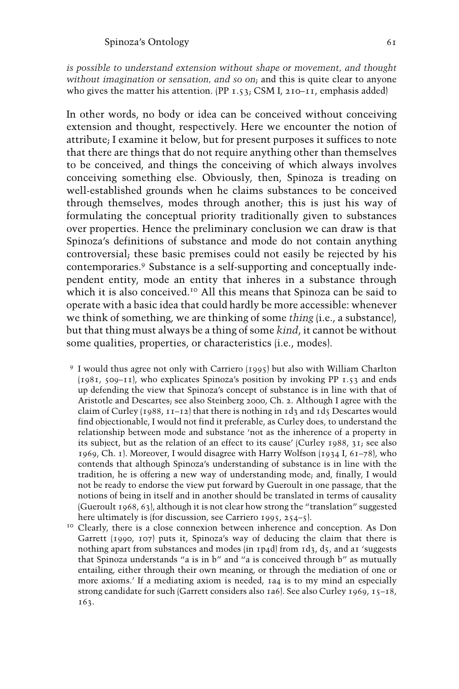*is possible to understand extension without shape or movement, and thought without imagination or sensation, and so on*; and this is quite clear to anyone who gives the matter his attention. (PP 1.53; CSM I, 210–11, emphasis added)

In other words, no body or idea can be conceived without conceiving extension and thought, respectively. Here we encounter the notion of attribute; I examine it below, but for present purposes it suffices to note that there are things that do not require anything other than themselves to be conceived, and things the conceiving of which always involves conceiving something else. Obviously, then, Spinoza is treading on well-established grounds when he claims substances to be conceived through themselves, modes through another; this is just his way of formulating the conceptual priority traditionally given to substances over properties. Hence the preliminary conclusion we can draw is that Spinoza's definitions of substance and mode do not contain anything controversial; these basic premises could not easily be rejected by his contemporaries.<sup>9</sup> Substance is a self-supporting and conceptually independent entity, mode an entity that inheres in a substance through which it is also conceived.<sup>10</sup> All this means that Spinoza can be said to operate with a basic idea that could hardly be more accessible: whenever we think of something, we are thinking of some *thing* (i.e., a substance), but that thing must always be a thing of some *kind*, it cannot be without some qualities, properties, or characteristics (i.e., modes).

- <sup>9</sup> I would thus agree not only with Carriero (1995) but also with William Charlton  $(1981, 509 - 11)$ , who explicates Spinoza's position by invoking PP 1.53 and ends up defending the view that Spinoza's concept of substance is in line with that of Aristotle and Descartes; see also Steinberg 2000, Ch. 2. Although I agree with the claim of Curley  $(1988, 11-12)$  that there is nothing in 1d3 and 1d5 Descartes would find objectionable, I would not find it preferable, as Curley does, to understand the relationship between mode and substance 'not as the inherence of a property in its subject, but as the relation of an effect to its cause' (Curley 1988, 31; see also 1969, Ch. 1). Moreover, I would disagree with Harry Wolfson (1934 I, 61–78), who contends that although Spinoza's understanding of substance is in line with the tradition, he is offering a new way of understanding mode; and, finally, I would not be ready to endorse the view put forward by Gueroult in one passage, that the notions of being in itself and in another should be translated in terms of causality (Gueroult 1968, 63), although it is not clear how strong the "translation" suggested here ultimately is (for discussion, see Carriero 1995, 254–5).<br><sup>10</sup> Clearly, there is a close connexion between inherence and conception. As Don
- Garrett (1990, 107) puts it, Spinoza's way of deducing the claim that there is nothing apart from substances and modes (in  $1p4d$ ) from  $1d3$ ,  $d5$ , and a $1$  'suggests that Spinoza understands "a is in b" and "a is conceived through b" as mutually entailing, either through their own meaning, or through the mediation of one or more axioms.' If a mediating axiom is needed, 1a4 is to my mind an especially strong candidate for such (Garrett considers also 1a6). See also Curley 1969, 15–18, 163.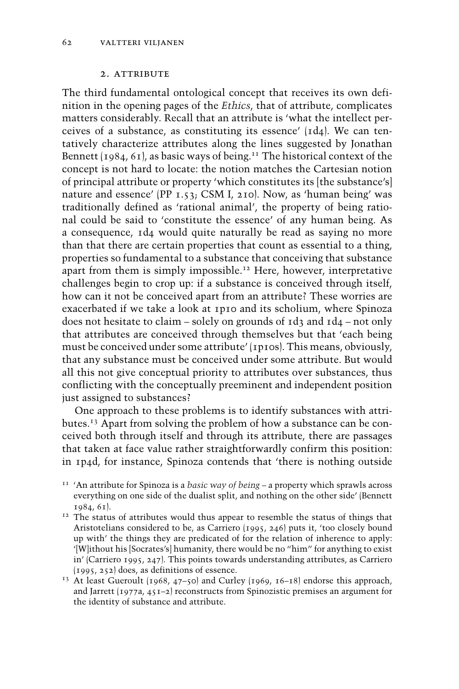#### 2. attribute

The third fundamental ontological concept that receives its own definition in the opening pages of the *Ethics*, that of attribute, complicates matters considerably. Recall that an attribute is 'what the intellect perceives of a substance, as constituting its essence'  $\lceil \text{rd}_4 \rceil$ . We can tentatively characterize attributes along the lines suggested by Jonathan Bennett  $[1984, 61]$ , as basic ways of being.<sup>11</sup> The historical context of the concept is not hard to locate: the notion matches the Cartesian notion of principal attribute or property 'which constitutes its [the substance's] nature and essence' (PP 1.53; CSM I, 210). Now, as 'human being' was traditionally defined as 'rational animal', the property of being rational could be said to 'constitute the essence' of any human being. As a consequence, 1d4 would quite naturally be read as saying no more than that there are certain properties that count as essential to a thing, properties so fundamental to a substance that conceiving that substance apart from them is simply impossible.<sup>12</sup> Here, however, interpretative challenges begin to crop up: if a substance is conceived through itself, how can it not be conceived apart from an attribute? These worries are exacerbated if we take a look at 1p10 and its scholium, where Spinoza does not hesitate to claim – solely on grounds of  $\text{Id}_3$  and  $\text{Id}_4$  – not only that attributes are conceived through themselves but that 'each being must be conceived under some attribute' (1p10s). This means, obviously, that any substance must be conceived under some attribute. But would all this not give conceptual priority to attributes over substances, thus conflicting with the conceptually preeminent and independent position just assigned to substances?

One approach to these problems is to identify substances with attributes.<sup>13</sup> Apart from solving the problem of how a substance can be conceived both through itself and through its attribute, there are passages that taken at face value rather straightforwardly confirm this position: in 1p4d, for instance, Spinoza contends that 'there is nothing outside

- <sup>11</sup> 'An attribute for Spinoza is a *basic way of being* a property which sprawls across everything on one side of the dualist split, and nothing on the other side' (Bennett 1984, 61). 12 The status of attributes would thus appear to resemble the status of things that
- Aristotelians considered to be, as Carriero (1995, 246) puts it, 'too closely bound up with' the things they are predicated of for the relation of inherence to apply: '[W]ithout his [Socrates's] humanity, there would be no "him" for anything to exist in' (Carriero 1995, 247). This points towards understanding attributes, as Carriero (1995, 252) does, as definitions of essence.<br><sup>13</sup> At least Gueroult (1968, 47–50) and Curley (1969, 16–18) endorse this approach,
- and Jarrett  $(1977a, 451-2)$  reconstructs from Spinozistic premises an argument for the identity of substance and attribute.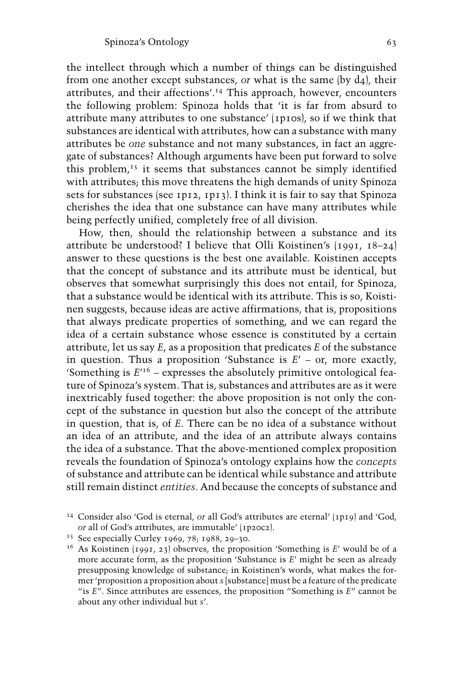the intellect through which a number of things can be distinguished from one another except substances, *or* what is the same (by d4), their attributes, and their affections'.<sup>14</sup> This approach, however, encounters the following problem: Spinoza holds that 'it is far from absurd to attribute many attributes to one substance' (1p10s), so if we think that substances are identical with attributes, how can a substance with many attributes be *one* substance and not many substances, in fact an aggregate of substances? Although arguments have been put forward to solve this problem, $15$  it seems that substances cannot be simply identified with attributes; this move threatens the high demands of unity Spinoza sets for substances (see 1p12, 1p13). I think it is fair to say that Spinoza cherishes the idea that one substance can have many attributes while being perfectly unified, completely free of all division.

How, then, should the relationship between a substance and its attribute be understood? I believe that Olli Koistinen's (1991, 18–24) answer to these questions is the best one available. Koistinen accepts that the concept of substance and its attribute must be identical, but observes that somewhat surprisingly this does not entail, for Spinoza, that a substance would be identical with its attribute. This is so, Koistinen suggests, because ideas are active affirmations, that is, propositions that always predicate properties of something, and we can regard the idea of a certain substance whose essence is constituted by a certain attribute, let us say *E*, as a proposition that predicates *E* of the substance in question. Thus a proposition 'Substance is *E*' – or, more exactly, 'Something is  $E<sup>16</sup>$  – expresses the absolutely primitive ontological feature of Spinoza's system. That is, substances and attributes are as it were inextricably fused together: the above proposition is not only the concept of the substance in question but also the concept of the attribute in question, that is, of *E*. There can be no idea of a substance without an idea of an attribute, and the idea of an attribute always contains the idea of a substance. That the above-mentioned complex proposition reveals the foundation of Spinoza's ontology explains how the *concepts* of substance and attribute can be identical while substance and attribute still remain distinct *entities*. And because the concepts of substance and

<sup>14</sup> Consider also 'God is eternal, *or* all God's attributes are eternal' (1p19) and 'God, *or* all of God's attributes, are immutable' (1p20c2).<br><sup>15</sup> See especially Curley 1969, 78; 1988, 29–30.<br><sup>16</sup> As Koistinen (1991, 23) observes, the proposition 'Something is *E*' would be of a

more accurate form, as the proposition 'Substance is *E*' might be seen as already presupposing knowledge of substance; in Koistinen's words, what makes the former 'proposition a proposition about *s* [substance] must be a feature of the predicate "is *E*". Since attributes are essences, the proposition "Something is *E*" cannot be about any other individual but *s*'.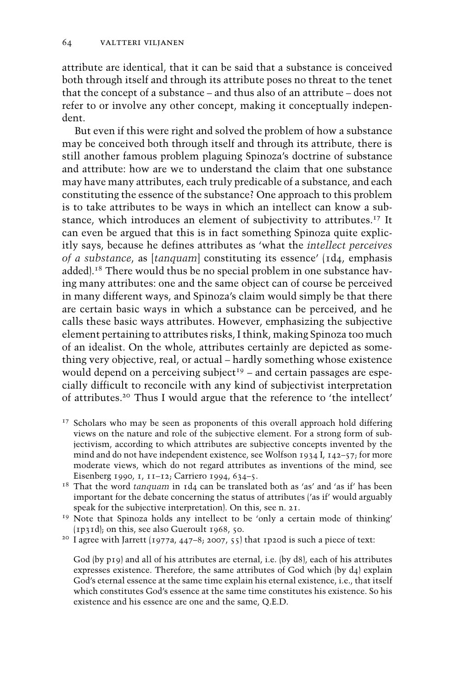attribute are identical, that it can be said that a substance is conceived both through itself and through its attribute poses no threat to the tenet that the concept of a substance – and thus also of an attribute – does not refer to or involve any other concept, making it conceptually independent.

But even if this were right and solved the problem of how a substance may be conceived both through itself and through its attribute, there is still another famous problem plaguing Spinoza's doctrine of substance and attribute: how are we to understand the claim that one substance may have many attributes, each truly predicable of a substance, and each constituting the essence of the substance? One approach to this problem is to take attributes to be ways in which an intellect can know a substance, which introduces an element of subjectivity to attributes.<sup>17</sup> It can even be argued that this is in fact something Spinoza quite explicitly says, because he defines attributes as 'what the *intellect perceives of a substance*, as [*tanquam*] constituting its essence' (1d4, emphasis added).<sup>18</sup> There would thus be no special problem in one substance having many attributes: one and the same object can of course be perceived in many different ways, and Spinoza's claim would simply be that there are certain basic ways in which a substance can be perceived, and he calls these basic ways attributes. However, emphasizing the subjective element pertaining to attributes risks, I think, making Spinoza too much of an idealist. On the whole, attributes certainly are depicted as something very objective, real, or actual – hardly something whose existence would depend on a perceiving subject<sup>19</sup> – and certain passages are especially difficult to reconcile with any kind of subjectivist interpretation of attributes.<sup>20</sup> Thus I would argue that the reference to 'the intellect'

- <sup>17</sup> Scholars who may be seen as proponents of this overall approach hold differing views on the nature and role of the subjective element. For a strong form of subjectivism, according to which attributes are subjective concepts invented by the mind and do not have independent existence, see Wolfson 1934 I, 142–57; for more moderate views, which do not regard attributes as inventions of the mind, see
- Eisenberg <sup>1990</sup>, <sup>1</sup>, <sup>11</sup>–12; Carriero <sup>1994</sup>, <sup>634</sup>–5. <sup>18</sup> That the word *tanquam* in <sup>1</sup>d<sup>4</sup> can be translated both as 'as' and 'as if' has been important for the debate concerning the status of attributes ('as if' would arguably speak for the subjective interpretation). On this, see n. 21.  $\frac{19}{19}$  Note that Spinoza holds any intellect to be 'only a certain mode of thinking'
- (1p31d); on this, see also Gueroult 1968, 50.<br><sup>20</sup> I agree with Jarrett (1977a, 447–8; 2007, 55) that 1p20d is such a piece of text:
- 

God (by p19) and all of his attributes are eternal, i.e. (by d8), each of his attributes expresses existence. Therefore, the same attributes of God which (by d4) explain God's eternal essence at the same time explain his eternal existence, i.e., that itself which constitutes God's essence at the same time constitutes his existence. So his existence and his essence are one and the same, Q.E.D.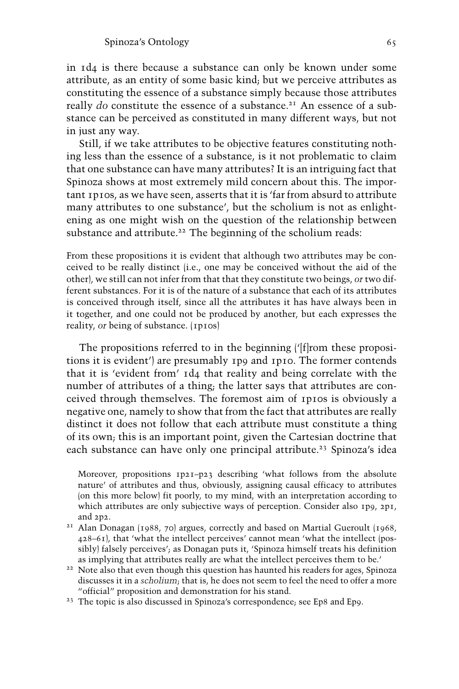in 1d4 is there because a substance can only be known under some attribute, as an entity of some basic kind; but we perceive attributes as constituting the essence of a substance simply because those attributes really *do* constitute the essence of a substance.<sup>21</sup> An essence of a substance can be perceived as constituted in many different ways, but not in just any way.

Still, if we take attributes to be objective features constituting nothing less than the essence of a substance, is it not problematic to claim that one substance can have many attributes? It is an intriguing fact that Spinoza shows at most extremely mild concern about this. The important 1p10s, as we have seen, asserts that it is 'far from absurd to attribute many attributes to one substance', but the scholium is not as enlightening as one might wish on the question of the relationship between substance and attribute.<sup>22</sup> The beginning of the scholium reads:

From these propositions it is evident that although two attributes may be conceived to be really distinct (i.e., one may be conceived without the aid of the other), we still can not infer from that that they constitute two beings, *or* two different substances. For it is of the nature of a substance that each of its attributes is conceived through itself, since all the attributes it has have always been in it together, and one could not be produced by another, but each expresses the reality, *or* being of substance. (1p10s)

The propositions referred to in the beginning ('[f]rom these propositions it is evident') are presumably 1p9 and 1p10. The former contends that it is 'evident from' 1d4 that reality and being correlate with the number of attributes of a thing; the latter says that attributes are conceived through themselves. The foremost aim of 1p10s is obviously a negative one, namely to show that from the fact that attributes are really distinct it does not follow that each attribute must constitute a thing of its own; this is an important point, given the Cartesian doctrine that each substance can have only one principal attribute.<sup>23</sup> Spinoza's idea

Moreover, propositions 1p21–p23 describing 'what follows from the absolute nature' of attributes and thus, obviously, assigning causal efficacy to attributes (on this more below) fit poorly, to my mind, with an interpretation according to which attributes are only subjective ways of perception. Consider also 1p9, 2p1, and 2p2.<br><sup>21</sup> Alan Donagan (1988, 70) argues, correctly and based on Martial Gueroult (1968,

- 428–61), that 'what the intellect perceives' cannot mean 'what the intellect (possibly) falsely perceives'; as Donagan puts it, 'Spinoza himself treats his definition as implying that attributes really are what the intellect perceives them to be.' <sup>22</sup> Note also that even though this question has haunted his readers for ages, Spinoza
- discusses it in a *scholium*; that is, he does not seem to feel the need to offer a more "official" proposition and demonstration for his stand.<br><sup>23</sup> The topic is also discussed in Spinoza's correspondence; see Ep8 and Ep9.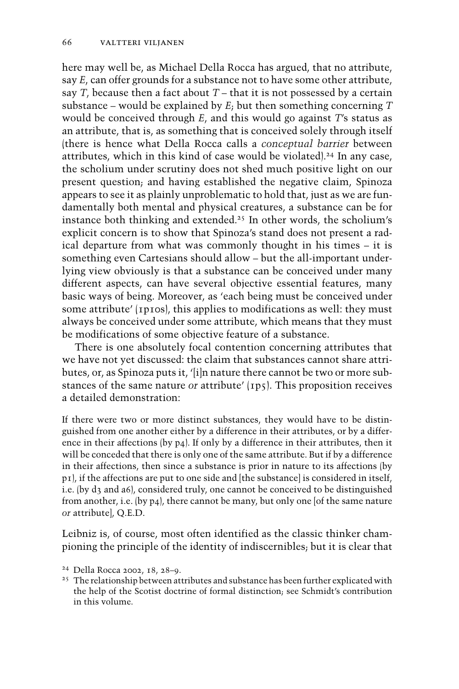here may well be, as Michael Della Rocca has argued, that no attribute, say *E*, can offer grounds for a substance not to have some other attribute, say *T*, because then a fact about  $T$  – that it is not possessed by a certain substance – would be explained by *E*; but then something concerning *T* would be conceived through *E*, and this would go against *T*'s status as an attribute, that is, as something that is conceived solely through itself (there is hence what Della Rocca calls a *conceptual barrier* between attributes, which in this kind of case would be violated).<sup>24</sup> In any case, the scholium under scrutiny does not shed much positive light on our present question; and having established the negative claim, Spinoza appears to see it as plainly unproblematic to hold that, just as we are fundamentally both mental and physical creatures, a substance can be for instance both thinking and extended.<sup>25</sup> In other words, the scholium's explicit concern is to show that Spinoza's stand does not present a radical departure from what was commonly thought in his times – it is something even Cartesians should allow – but the all-important underlying view obviously is that a substance can be conceived under many different aspects, can have several objective essential features, many basic ways of being. Moreover, as 'each being must be conceived under some attribute' (1p10s), this applies to modifications as well: they must always be conceived under some attribute, which means that they must be modifications of some objective feature of a substance.

There is one absolutely focal contention concerning attributes that we have not yet discussed: the claim that substances cannot share attributes, or, as Spinoza puts it, '[i]n nature there cannot be two or more substances of the same nature *or* attribute' (1p5). This proposition receives a detailed demonstration:

If there were two or more distinct substances, they would have to be distinguished from one another either by a difference in their attributes, or by a difference in their affections (by p4). If only by a difference in their attributes, then it will be conceded that there is only one of the same attribute. But if by a difference in their affections, then since a substance is prior in nature to its affections (by p1), if the affections are put to one side and [the substance] is considered in itself, i.e. (by d3 and a6), considered truly, one cannot be conceived to be distinguished from another, i.e. (by p4), there cannot be many, but only one [of the same nature *or* attribute], Q.E.D.

Leibniz is, of course, most often identified as the classic thinker championing the principle of the identity of indiscernibles; but it is clear that

<sup>&</sup>lt;sup>24</sup> Della Rocca 2002, 18, 28–9.<br><sup>25</sup> The relationship between attributes and substance has been further explicated with the help of the Scotist doctrine of formal distinction; see Schmidt's contribution in this volume.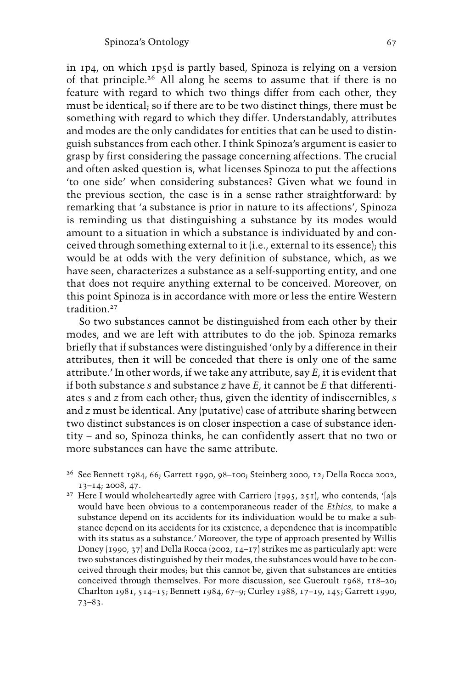in 1p4, on which 1p5d is partly based, Spinoza is relying on a version of that principle.<sup>26</sup> All along he seems to assume that if there is no feature with regard to which two things differ from each other, they must be identical; so if there are to be two distinct things, there must be something with regard to which they differ. Understandably, attributes and modes are the only candidates for entities that can be used to distinguish substances from each other. I think Spinoza's argument is easier to grasp by first considering the passage concerning affections. The crucial and often asked question is, what licenses Spinoza to put the affections 'to one side' when considering substances? Given what we found in the previous section, the case is in a sense rather straightforward: by remarking that 'a substance is prior in nature to its affections', Spinoza is reminding us that distinguishing a substance by its modes would amount to a situation in which a substance is individuated by and conceived through something external to it (i.e., external to its essence); this would be at odds with the very definition of substance, which, as we have seen, characterizes a substance as a self-supporting entity, and one that does not require anything external to be conceived. Moreover, on this point Spinoza is in accordance with more or less the entire Western tradition.<sup>27</sup>

So two substances cannot be distinguished from each other by their modes, and we are left with attributes to do the job. Spinoza remarks briefly that if substances were distinguished 'only by a difference in their attributes, then it will be conceded that there is only one of the same attribute.' In other words, if we take any attribute, say *E*, it is evident that if both substance *s* and substance *z* have *E*, it cannot be *E* that differentiates *s* and *z* from each other; thus, given the identity of indiscernibles, *s* and *z* must be identical. Any (putative) case of attribute sharing between two distinct substances is on closer inspection a case of substance identity – and so, Spinoza thinks, he can confidently assert that no two or more substances can have the same attribute.

- <sup>26</sup> See Bennett 1984, 66; Garrett 1990, 98–100; Steinberg 2000, 12; Della Rocca 2002,  $13-14$ ; 2008, 47.<br><sup>27</sup> Here I would wholeheartedly agree with Carriero (1995, 251), who contends, '[a]s
- would have been obvious to a contemporaneous reader of the *Ethics,* to make a substance depend on its accidents for its individuation would be to make a substance depend on its accidents for its existence, a dependence that is incompatible with its status as a substance.' Moreover, the type of approach presented by Willis Doney (1990, 37) and Della Rocca (2002,  $14-17$ ) strikes me as particularly apt: were two substances distinguished by their modes, the substances would have to be conceived through their modes; but this cannot be, given that substances are entities conceived through themselves. For more discussion, see Gueroult 1968, 118–20; Charlton 1981, 514–15; Bennett 1984, 67–9; Curley 1988, 17–19, 145; Garrett 1990, 73–83.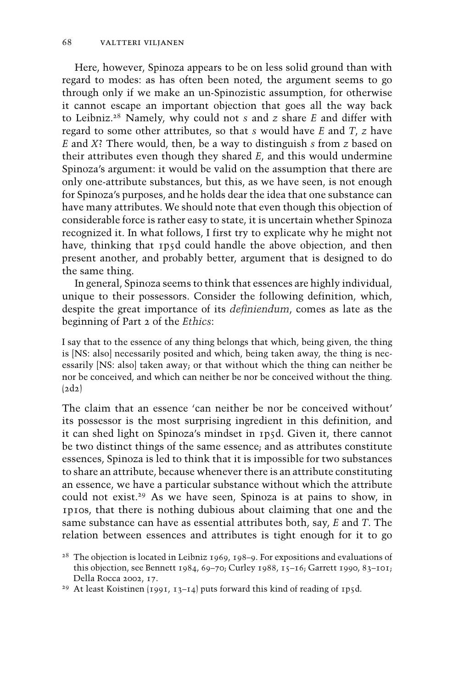Here, however, Spinoza appears to be on less solid ground than with regard to modes: as has often been noted, the argument seems to go through only if we make an un-Spinozistic assumption, for otherwise it cannot escape an important objection that goes all the way back to Leibniz.<sup>28</sup> Namely, why could not *s* and *z* share *E* and differ with regard to some other attributes, so that *s* would have *E* and *T*, *z* have *E* and *X*? There would, then, be a way to distinguish *s* from *z* based on their attributes even though they shared *E*, and this would undermine Spinoza's argument: it would be valid on the assumption that there are only one-attribute substances, but this, as we have seen, is not enough for Spinoza's purposes, and he holds dear the idea that one substance can have many attributes. We should note that even though this objection of considerable force is rather easy to state, it is uncertain whether Spinoza recognized it. In what follows, I first try to explicate why he might not have, thinking that 1p5d could handle the above objection, and then present another, and probably better, argument that is designed to do the same thing.

In general, Spinoza seems to think that essences are highly individual, unique to their possessors. Consider the following definition, which, despite the great importance of its *definiendum*, comes as late as the beginning of Part 2 of the *Ethics*:

I say that to the essence of any thing belongs that which, being given, the thing is [NS: also] necessarily posited and which, being taken away, the thing is necessarily [NS: also] taken away; or that without which the thing can neither be nor be conceived, and which can neither be nor be conceived without the thing.  $(2d2)$ 

The claim that an essence 'can neither be nor be conceived without' its possessor is the most surprising ingredient in this definition, and it can shed light on Spinoza's mindset in 1p5d. Given it, there cannot be two distinct things of the same essence; and as attributes constitute essences, Spinoza is led to think that it is impossible for two substances to share an attribute, because whenever there is an attribute constituting an essence, we have a particular substance without which the attribute could not exist.<sup>29</sup> As we have seen, Spinoza is at pains to show, in 1p10s, that there is nothing dubious about claiming that one and the same substance can have as essential attributes both, say, *E* and *T*. The relation between essences and attributes is tight enough for it to go

<sup>&</sup>lt;sup>28</sup> The objection is located in Leibniz 1969, 198–9. For expositions and evaluations of this objection, see Bennett 1984, 69–70; Curley 1988, 15–16; Garrett 1990, 83–101; Della Rocca 2002, 17.<br><sup>29</sup> At least Koistinen (1991, 13–14) puts forward this kind of reading of 1p5d.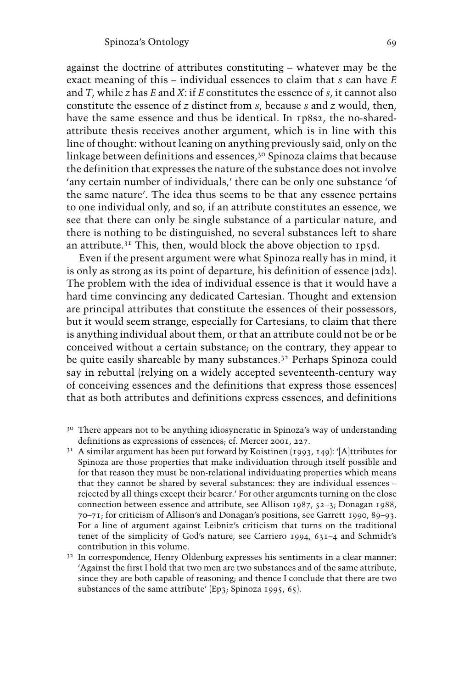against the doctrine of attributes constituting – whatever may be the exact meaning of this – individual essences to claim that *s* can have *E* and *T*, while *z* has *E* and *X*: if *E* constitutes the essence of *s*, it cannot also constitute the essence of *z* distinct from *s*, because *s* and *z* would, then, have the same essence and thus be identical. In 1p8s2, the no-sharedattribute thesis receives another argument, which is in line with this line of thought: without leaning on anything previously said, only on the linkage between definitions and essences,<sup>30</sup> Spinoza claims that because the definition that expresses the nature of the substance does not involve 'any certain number of individuals,' there can be only one substance 'of the same nature'. The idea thus seems to be that any essence pertains to one individual only, and so, if an attribute constitutes an essence, we see that there can only be single substance of a particular nature, and there is nothing to be distinguished, no several substances left to share an attribute.<sup>31</sup> This, then, would block the above objection to  $1p5d$ .

Even if the present argument were what Spinoza really has in mind, it is only as strong as its point of departure, his definition of essence (2d2). The problem with the idea of individual essence is that it would have a hard time convincing any dedicated Cartesian. Thought and extension are principal attributes that constitute the essences of their possessors, but it would seem strange, especially for Cartesians, to claim that there is anything individual about them, or that an attribute could not be or be conceived without a certain substance; on the contrary, they appear to be quite easily shareable by many substances.<sup>32</sup> Perhaps Spinoza could say in rebuttal (relying on a widely accepted seventeenth-century way of conceiving essences and the definitions that express those essences) that as both attributes and definitions express essences, and definitions

- <sup>30</sup> There appears not to be anything idiosyncratic in Spinoza's way of understanding definitions as expressions of essences; cf. Mercer 2001, 227.<br><sup>31</sup> A similar argument has been put forward by Koistinen (1993, 149): '[A]ttributes for
- Spinoza are those properties that make individuation through itself possible and for that reason they must be non-relational individuating properties which means that they cannot be shared by several substances: they are individual essences – rejected by all things except their bearer.' For other arguments turning on the close connection between essence and attribute, see Allison 1987, 52–3; Donagan 1988, 70–71; for criticism of Allison's and Donagan's positions, see Garrett 1990, 89–93. For a line of argument against Leibniz's criticism that turns on the traditional tenet of the simplicity of God's nature, see Carriero 1994, 631–4 and Schmidt's contribution in this volume. <sup>32</sup> In correspondence, Henry Oldenburg expresses his sentiments in a clear manner:
- 'Against the first I hold that two men are two substances and of the same attribute, since they are both capable of reasoning; and thence I conclude that there are two substances of the same attribute' (Ep3; Spinoza 1995, 65).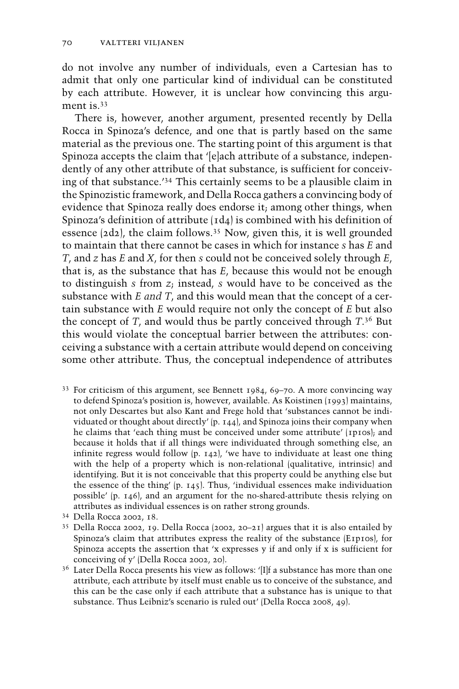do not involve any number of individuals, even a Cartesian has to admit that only one particular kind of individual can be constituted by each attribute. However, it is unclear how convincing this argument is.<sup>33</sup>

There is, however, another argument, presented recently by Della Rocca in Spinoza's defence, and one that is partly based on the same material as the previous one. The starting point of this argument is that Spinoza accepts the claim that '[e]ach attribute of a substance, independently of any other attribute of that substance, is sufficient for conceiving of that substance.'<sup>34</sup> This certainly seems to be a plausible claim in the Spinozistic framework, and Della Rocca gathers a convincing body of evidence that Spinoza really does endorse it; among other things, when Spinoza's definition of attribute (1d4) is combined with his definition of essence (2d2), the claim follows.<sup>35</sup> Now, given this, it is well grounded to maintain that there cannot be cases in which for instance *s* has *E* and *T*, and *z* has *E* and *X*, for then *s* could not be conceived solely through *E*, that is, as the substance that has *E*, because this would not be enough to distinguish *s* from *z*; instead, *s* would have to be conceived as the substance with *E and T*, and this would mean that the concept of a certain substance with *E* would require not only the concept of *E* but also the concept of *T*, and would thus be partly conceived through *T*. <sup>36</sup> But this would violate the conceptual barrier between the attributes: conceiving a substance with a certain attribute would depend on conceiving some other attribute. Thus, the conceptual independence of attributes

- <sup>33</sup> For criticism of this argument, see Bennett 1984, 69–70. A more convincing way to defend Spinoza's position is, however, available. As Koistinen (1993) maintains, not only Descartes but also Kant and Frege hold that 'substances cannot be individuated or thought about directly' (p. 144), and Spinoza joins their company when he claims that 'each thing must be conceived under some attribute' (1p10s); and because it holds that if all things were individuated through something else, an infinite regress would follow (p. 142), 'we have to individuate at least one thing with the help of a property which is non-relational (qualitative, intrinsic) and identifying. But it is not conceivable that this property could be anything else but the essence of the thing' (p. 145). Thus, 'individual essences make individuation possible' (p. 146), and an argument for the no-shared-attribute thesis relying on attributes as individual essences is on rather strong grounds.<br><sup>34</sup> Della Rocca 2002, 18.<br><sup>35</sup> Della Rocca 2002, 19. Della Rocca (2002, 20–21) argues that it is also entailed by
- 
- Spinoza's claim that attributes express the reality of the substance (E1p10s), for Spinoza accepts the assertion that 'x expresses y if and only if x is sufficient for conceiving of y' (Della Rocca 2002, 20).
- <sup>36</sup> Later Della Rocca presents his view as follows: '[I]f a substance has more than one attribute, each attribute by itself must enable us to conceive of the substance, and this can be the case only if each attribute that a substance has is unique to that substance. Thus Leibniz's scenario is ruled out' (Della Rocca 2008, 49).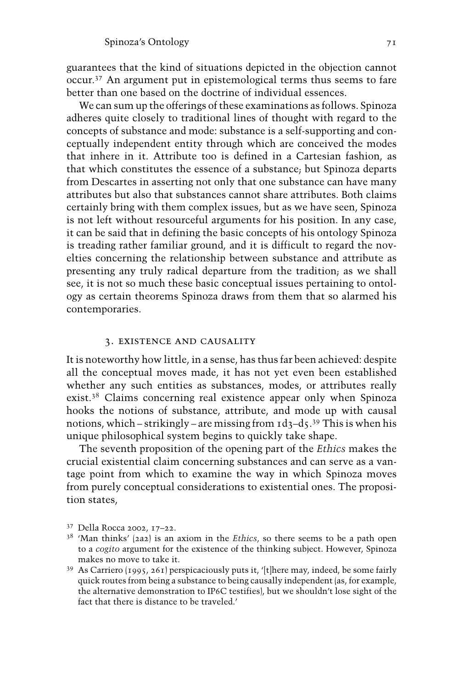guarantees that the kind of situations depicted in the objection cannot occur.<sup>37</sup> An argument put in epistemological terms thus seems to fare better than one based on the doctrine of individual essences.

We can sum up the offerings of these examinations as follows. Spinoza adheres quite closely to traditional lines of thought with regard to the concepts of substance and mode: substance is a self-supporting and conceptually independent entity through which are conceived the modes that inhere in it. Attribute too is defined in a Cartesian fashion, as that which constitutes the essence of a substance; but Spinoza departs from Descartes in asserting not only that one substance can have many attributes but also that substances cannot share attributes. Both claims certainly bring with them complex issues, but as we have seen, Spinoza is not left without resourceful arguments for his position. In any case, it can be said that in defining the basic concepts of his ontology Spinoza is treading rather familiar ground, and it is difficult to regard the novelties concerning the relationship between substance and attribute as presenting any truly radical departure from the tradition; as we shall see, it is not so much these basic conceptual issues pertaining to ontology as certain theorems Spinoza draws from them that so alarmed his contemporaries.

#### 3. existence and causality

It is noteworthy how little, in a sense, has thus far been achieved: despite all the conceptual moves made, it has not yet even been established whether any such entities as substances, modes, or attributes really exist.<sup>38</sup> Claims concerning real existence appear only when Spinoza hooks the notions of substance, attribute, and mode up with causal notions, which – strikingly – are missing from 1d3–d5. <sup>39</sup> This is when his unique philosophical system begins to quickly take shape.

The seventh proposition of the opening part of the *Ethics* makes the crucial existential claim concerning substances and can serve as a vantage point from which to examine the way in which Spinoza moves from purely conceptual considerations to existential ones. The proposition states,

<sup>37</sup> Della Rocca <sup>2002</sup>, <sup>17</sup>–22. <sup>38</sup> 'Man thinks' (2a2) is an axiom in the *Ethics*, so there seems to be a path open to a *cogito* argument for the existence of the thinking subject. However, Spinoza makes no move to take it.<br><sup>39</sup> As Carriero (1995, 261) perspicaciously puts it, '[t]here may, indeed, be some fairly

quick routes from being a substance to being causally independent (as, for example, the alternative demonstration to IP6C testifies), but we shouldn't lose sight of the fact that there is distance to be traveled.'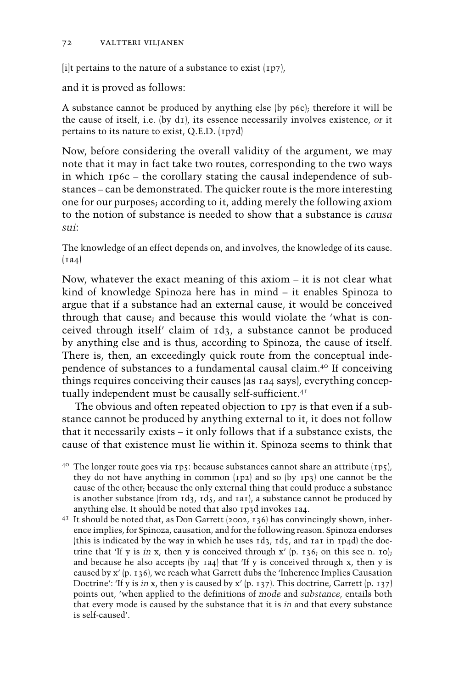[i]t pertains to the nature of a substance to exist  $(1p7)$ ,

and it is proved as follows:

A substance cannot be produced by anything else (by p6c); therefore it will be the cause of itself, i.e. (by d1), its essence necessarily involves existence, *or* it pertains to its nature to exist, Q.E.D. (1p7d)

Now, before considering the overall validity of the argument, we may note that it may in fact take two routes, corresponding to the two ways in which 1p6c – the corollary stating the causal independence of substances – can be demonstrated. The quicker route is the more interesting one for our purposes; according to it, adding merely the following axiom to the notion of substance is needed to show that a substance is *causa sui*:

The knowledge of an effect depends on, and involves, the knowledge of its cause.  $(1a4)$ 

Now, whatever the exact meaning of this axiom – it is not clear what kind of knowledge Spinoza here has in mind – it enables Spinoza to argue that if a substance had an external cause, it would be conceived through that cause; and because this would violate the 'what is conceived through itself' claim of 1d3, a substance cannot be produced by anything else and is thus, according to Spinoza, the cause of itself. There is, then, an exceedingly quick route from the conceptual independence of substances to a fundamental causal claim.<sup>40</sup> If conceiving things requires conceiving their causes (as 1a4 says), everything conceptually independent must be causally self-sufficient.<sup>41</sup>

The obvious and often repeated objection to 1p7 is that even if a substance cannot be produced by anything external to it, it does not follow that it necessarily exists – it only follows that if a substance exists, the cause of that existence must lie within it. Spinoza seems to think that

- <sup>40</sup> The longer route goes via 1p5: because substances cannot share an attribute (1p5), they do not have anything in common (1p2) and so (by 1p3) one cannot be the cause of the other; because the only external thing that could produce a substance is another substance (from 1d3, 1d5, and 1a1), a substance cannot be produced by anything else. It should be noted that also 1p3d invokes 1a4.<br><sup>41</sup> It should be noted that, as Don Garrett (2002, 136) has convincingly shown, inher-
- ence implies, for Spinoza, causation, and for the following reason. Spinoza endorses (this is indicated by the way in which he uses  $1d3$ ,  $1d5$ , and  $1a1$  in 1p4d) the doctrine that 'If y is *in* x, then y is conceived through x' (p. 136; on this see n. 10); and because he also accepts (by 1a4) that 'If y is conceived through x, then y is caused by x' (p. 136), we reach what Garrett dubs the 'Inherence Implies Causation Doctrine': 'If y is *in* x, then y is caused by x' (p. 137). This doctrine, Garrett (p. 137) points out, 'when applied to the definitions of *mode* and *substance*, entails both that every mode is caused by the substance that it is *in* and that every substance is self-caused'.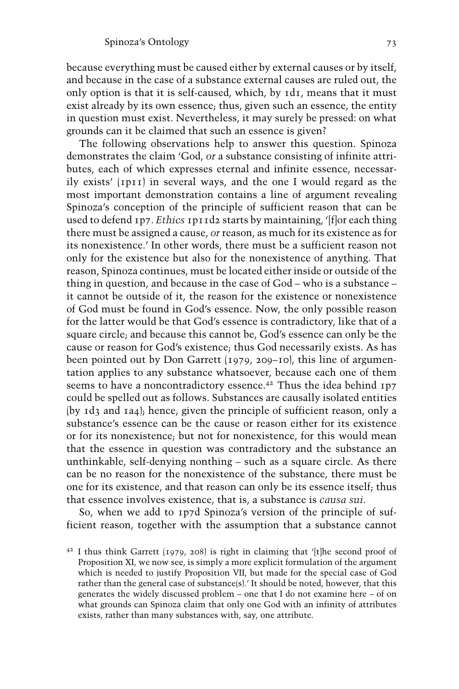because everything must be caused either by external causes or by itself, and because in the case of a substance external causes are ruled out, the only option is that it is self-caused, which, by 1d1, means that it must exist already by its own essence; thus, given such an essence, the entity in question must exist. Nevertheless, it may surely be pressed: on what grounds can it be claimed that such an essence is given?

The following observations help to answer this question. Spinoza demonstrates the claim 'God, *or* a substance consisting of infinite attributes, each of which expresses eternal and infinite essence, necessarily exists' (1p11) in several ways, and the one I would regard as the most important demonstration contains a line of argument revealing Spinoza's conception of the principle of sufficient reason that can be used to defend 1p7. *Ethics* 1p11d2 starts by maintaining, '[f]or each thing there must be assigned a cause, *or* reason, as much for its existence as for its nonexistence.' In other words, there must be a sufficient reason not only for the existence but also for the nonexistence of anything. That reason, Spinoza continues, must be located either inside or outside of the thing in question, and because in the case of God – who is a substance – it cannot be outside of it, the reason for the existence or nonexistence of God must be found in God's essence. Now, the only possible reason for the latter would be that God's essence is contradictory, like that of a square circle; and because this cannot be, God's essence can only be the cause or reason for God's existence; thus God necessarily exists. As has been pointed out by Don Garrett (1979, 209–10), this line of argumentation applies to any substance whatsoever, because each one of them seems to have a noncontradictory essence.<sup>42</sup> Thus the idea behind 1p7 could be spelled out as follows. Substances are causally isolated entities (by 1d3 and 1a4); hence, given the principle of sufficient reason, only a substance's essence can be the cause or reason either for its existence or for its nonexistence; but not for nonexistence, for this would mean that the essence in question was contradictory and the substance an unthinkable, self-denying nonthing – such as a square circle. As there can be no reason for the nonexistence of the substance, there must be one for its existence, and that reason can only be its essence itself; thus that essence involves existence, that is, a substance is *causa sui*.

So, when we add to 1p7d Spinoza's version of the principle of sufficient reason, together with the assumption that a substance cannot

 $42$  I thus think Garrett (1979, 208) is right in claiming that '[t]he second proof of Proposition XI, we now see, is simply a more explicit formulation of the argument which is needed to justify Proposition VII, but made for the special case of God rather than the general case of substance(s).' It should be noted, however, that this generates the widely discussed problem – one that I do not examine here – of on what grounds can Spinoza claim that only one God with an infinity of attributes exists, rather than many substances with, say, one attribute.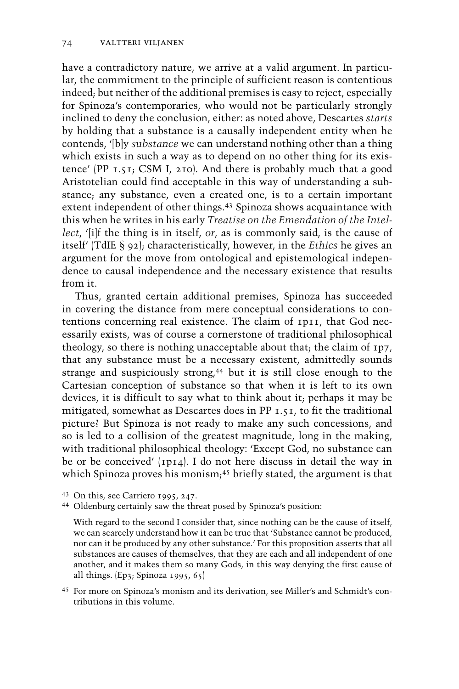have a contradictory nature, we arrive at a valid argument. In particular, the commitment to the principle of sufficient reason is contentious indeed; but neither of the additional premises is easy to reject, especially for Spinoza's contemporaries, who would not be particularly strongly inclined to deny the conclusion, either: as noted above, Descartes *starts* by holding that a substance is a causally independent entity when he contends, '[b]y *substance* we can understand nothing other than a thing which exists in such a way as to depend on no other thing for its existence' (PP 1.51; CSM I, 210). And there is probably much that a good Aristotelian could find acceptable in this way of understanding a substance; any substance, even a created one, is to a certain important extent independent of other things.<sup>43</sup> Spinoza shows acquaintance with this when he writes in his early *Treatise on the Emendation of the Intellect*, '[i]f the thing is in itself, *or*, as is commonly said, is the cause of itself' (TdIE § 92); characteristically, however, in the *Ethics* he gives an argument for the move from ontological and epistemological independence to causal independence and the necessary existence that results from it.

Thus, granted certain additional premises, Spinoza has succeeded in covering the distance from mere conceptual considerations to contentions concerning real existence. The claim of 1p11, that God necessarily exists, was of course a cornerstone of traditional philosophical theology, so there is nothing unacceptable about that; the claim of 1p7, that any substance must be a necessary existent, admittedly sounds strange and suspiciously strong,<sup>44</sup> but it is still close enough to the Cartesian conception of substance so that when it is left to its own devices, it is difficult to say what to think about it; perhaps it may be mitigated, somewhat as Descartes does in PP 1.51, to fit the traditional picture? But Spinoza is not ready to make any such concessions, and so is led to a collision of the greatest magnitude, long in the making, with traditional philosophical theology: 'Except God, no substance can be or be conceived' (1p14). I do not here discuss in detail the way in which Spinoza proves his monism;<sup>45</sup> briefly stated, the argument is that

<sup>43</sup> On this, see Carriero <sup>1995</sup>, <sup>247</sup>. <sup>44</sup> Oldenburg certainly saw the threat posed by Spinoza's position:

With regard to the second I consider that, since nothing can be the cause of itself, we can scarcely understand how it can be true that 'Substance cannot be produced, nor can it be produced by any other substance.' For this proposition asserts that all substances are causes of themselves, that they are each and all independent of one another, and it makes them so many Gods, in this way denying the first cause of all things. (Ep3; Spinoza 1995, 65)

<sup>45</sup> For more on Spinoza's monism and its derivation, see Miller's and Schmidt's contributions in this volume.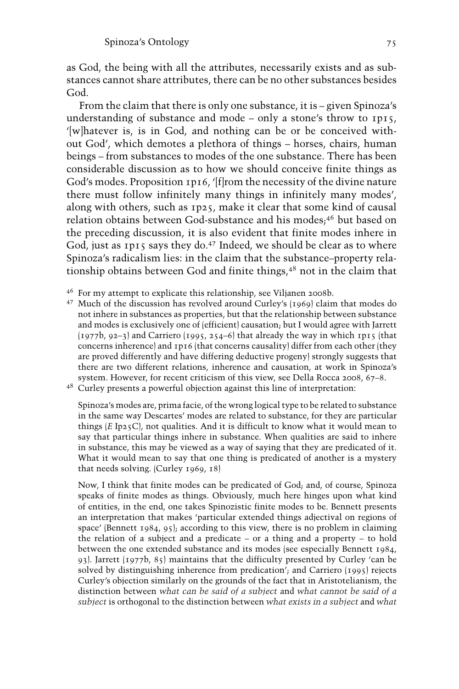as God, the being with all the attributes, necessarily exists and as substances cannot share attributes, there can be no other substances besides God.

From the claim that there is only one substance, it is – given Spinoza's understanding of substance and mode – only a stone's throw to 1p15, '[w]hatever is, is in God, and nothing can be or be conceived without God', which demotes a plethora of things – horses, chairs, human beings – from substances to modes of the one substance. There has been considerable discussion as to how we should conceive finite things as God's modes. Proposition 1p16, '[f]rom the necessity of the divine nature there must follow infinitely many things in infinitely many modes', along with others, such as 1p25, make it clear that some kind of causal relation obtains between God-substance and his modes;<sup>46</sup> but based on the preceding discussion, it is also evident that finite modes inhere in God, just as 1p15 says they do.<sup>47</sup> Indeed, we should be clear as to where Spinoza's radicalism lies: in the claim that the substance–property relationship obtains between God and finite things,<sup>48</sup> not in the claim that

- <sup>46</sup> For my attempt to explicate this relationship, see Viljanen 2008b.<br><sup>47</sup> Much of the discussion has revolved around Curley's (1969) claim that modes do not inhere in substances as properties, but that the relationship between substance and modes is exclusively one of (efficient) causation; but I would agree with Jarrett  $(1977b, 92-3)$  and Carriero  $(1995, 254-6)$  that already the way in which 1p15 (that concerns inherence) and 1p16 (that concerns causality) differ from each other (they are proved differently and have differing deductive progeny) strongly suggests that there are two different relations, inherence and causation, at work in Spinoza's system. However, for recent criticism of this view, see Della Rocca 2008, 67–8.<br><sup>48</sup> Curley presents a powerful objection against this line of interpretation:
- 

Spinoza's modes are, prima facie, of the wrong logical type to be related to substance in the same way Descartes' modes are related to substance, for they are particular things (*E* Ip25C), not qualities. And it is difficult to know what it would mean to say that particular things inhere in substance. When qualities are said to inhere in substance, this may be viewed as a way of saying that they are predicated of it. What it would mean to say that one thing is predicated of another is a mystery that needs solving. (Curley 1969, 18)

Now, I think that finite modes can be predicated of God; and, of course, Spinoza speaks of finite modes as things. Obviously, much here hinges upon what kind of entities, in the end, one takes Spinozistic finite modes to be. Bennett presents an interpretation that makes 'particular extended things adjectival on regions of space' (Bennett  $1984, 95$ ); according to this view, there is no problem in claiming the relation of a subject and a predicate – or a thing and a property – to hold between the one extended substance and its modes (see especially Bennett 1984, 93). Jarrett (1977b, 85) maintains that the difficulty presented by Curley 'can be solved by distinguishing inherence from predication'; and Carriero (1995) rejects Curley's objection similarly on the grounds of the fact that in Aristotelianism, the distinction between *what can be said of a subject* and *what cannot be said of a subject* is orthogonal to the distinction between *what exists in a subject* and *what*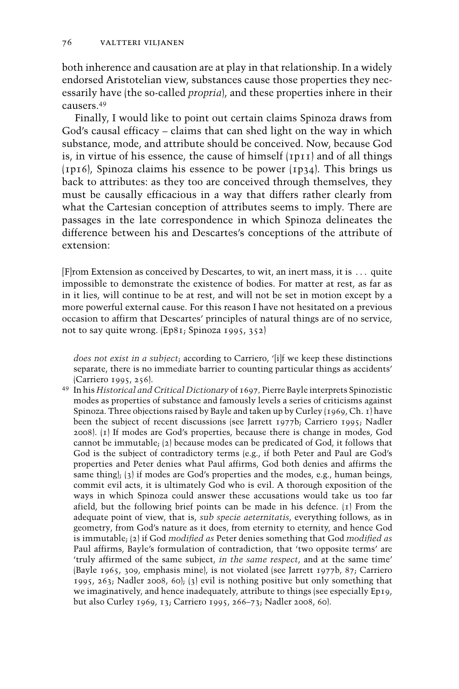both inherence and causation are at play in that relationship. In a widely endorsed Aristotelian view, substances cause those properties they necessarily have (the so-called *propria*), and these properties inhere in their causers.<sup>49</sup>

Finally, I would like to point out certain claims Spinoza draws from God's causal efficacy – claims that can shed light on the way in which substance, mode, and attribute should be conceived. Now, because God is, in virtue of his essence, the cause of himself  $(pII)$  and of all things (1p16), Spinoza claims his essence to be power (1p34). This brings us back to attributes: as they too are conceived through themselves, they must be causally efficacious in a way that differs rather clearly from what the Cartesian conception of attributes seems to imply. There are passages in the late correspondence in which Spinoza delineates the difference between his and Descartes's conceptions of the attribute of extension:

[F]rom Extension as conceived by Descartes, to wit, an inert mass, it is . . . quite impossible to demonstrate the existence of bodies. For matter at rest, as far as in it lies, will continue to be at rest, and will not be set in motion except by a more powerful external cause. For this reason I have not hesitated on a previous occasion to affirm that Descartes' principles of natural things are of no service, not to say quite wrong. (Ep81; Spinoza 1995, 352)

*does not exist in a subject*; according to Carriero, '[i]f we keep these distinctions separate, there is no immediate barrier to counting particular things as accidents' (Carriero <sup>1995</sup>, <sup>256</sup>). <sup>49</sup> In his *Historical and Critical Dictionary* of <sup>1697</sup>*,* Pierre Bayle interprets Spinozistic

modes as properties of substance and famously levels a series of criticisms against Spinoza. Three objections raised by Bayle and taken up by Curley (1969, Ch. 1) have been the subject of recent discussions (see Jarrett 1977b; Carriero 1995; Nadler 2008). (1) If modes are God's properties, because there is change in modes, God cannot be immutable; (2) because modes can be predicated of God, it follows that God is the subject of contradictory terms (e.g., if both Peter and Paul are God's properties and Peter denies what Paul affirms, God both denies and affirms the same thing); (3) if modes are God's properties and the modes, e.g., human beings, commit evil acts, it is ultimately God who is evil. A thorough exposition of the ways in which Spinoza could answer these accusations would take us too far afield, but the following brief points can be made in his defence. (1) From the adequate point of view, that is, *sub specie aeternitatis*, everything follows, as in geometry, from God's nature as it does, from eternity to eternity, and hence God is immutable; (2) if God *modified as* Peter denies something that God *modified as* Paul affirms, Bayle's formulation of contradiction, that 'two opposite terms' are 'truly affirmed of the same subject, *in the same respect*, and at the same time' (Bayle 1965, 309, emphasis mine), is not violated (see Jarrett 1977b, 87; Carriero 1995, 263; Nadler 2008, 60); (3) evil is nothing positive but only something that we imaginatively, and hence inadequately, attribute to things (see especially Ep19, but also Curley 1969, 13; Carriero 1995, 266–73; Nadler 2008, 60).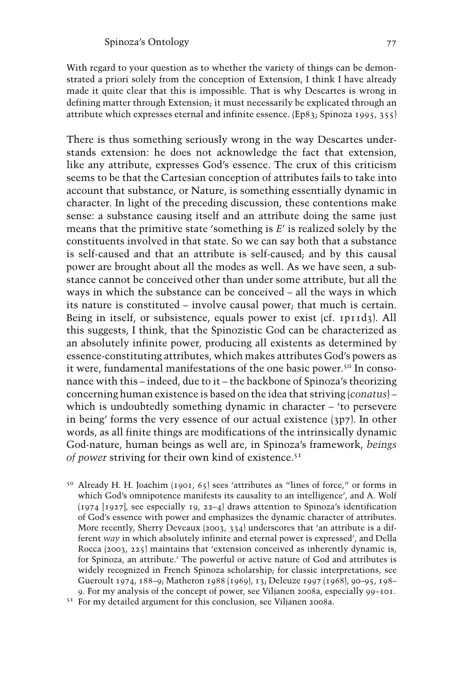With regard to your question as to whether the variety of things can be demonstrated a priori solely from the conception of Extension, I think I have already made it quite clear that this is impossible. That is why Descartes is wrong in defining matter through Extension; it must necessarily be explicated through an attribute which expresses eternal and infinite essence. (Ep83; Spinoza 1995, 355)

There is thus something seriously wrong in the way Descartes understands extension: he does not acknowledge the fact that extension, like any attribute, expresses God's essence. The crux of this criticism seems to be that the Cartesian conception of attributes fails to take into account that substance, or Nature, is something essentially dynamic in character. In light of the preceding discussion, these contentions make sense: a substance causing itself and an attribute doing the same just means that the primitive state 'something is *E*' is realized solely by the constituents involved in that state. So we can say both that a substance is self-caused and that an attribute is self-caused; and by this causal power are brought about all the modes as well. As we have seen, a substance cannot be conceived other than under some attribute, but all the ways in which the substance can be conceived – all the ways in which its nature is constituted – involve causal power; that much is certain. Being in itself, or subsistence, equals power to exist (cf. 1p11d3). All this suggests, I think, that the Spinozistic God can be characterized as an absolutely infinite power, producing all existents as determined by essence-constituting attributes, which makes attributes God's powers as it were, fundamental manifestations of the one basic power.<sup>50</sup> In consonance with this – indeed, due to it – the backbone of Spinoza's theorizing concerning human existence is based on the idea that striving (*conatus*) – which is undoubtedly something dynamic in character – 'to persevere in being' forms the very essence of our actual existence (3p7). In other words, as all finite things are modifications of the intrinsically dynamic God-nature, human beings as well are, in Spinoza's framework, *beings of power* striving for their own kind of existence.<sup>51</sup>

<sup>50</sup> Already H. H. Joachim (1901, 65) sees 'attributes as "lines of force," or forms in which God's omnipotence manifests its causality to an intelligence', and A. Wolf (1974 [1927], see especially 19, 22–4) draws attention to Spinoza's identification of God's essence with power and emphasizes the dynamic character of attributes. More recently, Sherry Deveaux (2003, 334) underscores that 'an attribute is a different *way* in which absolutely infinite and eternal power is expressed', and Della Rocca (2003, 225) maintains that 'extension conceived as inherently dynamic is, for Spinoza, an attribute.' The powerful or active nature of God and attributes is widely recognized in French Spinoza scholarship; for classic interpretations, see Gueroult 1974, 188–9; Matheron 1988 (1969), 13; Deleuze 1997 (1968), 90–95, 198– <sup>9</sup>. For my analysis of the concept of power, see Viljanen <sup>2008</sup>a, especially <sup>99</sup>–101. <sup>51</sup> For my detailed argument for this conclusion, see Viljanen <sup>2008</sup>a.